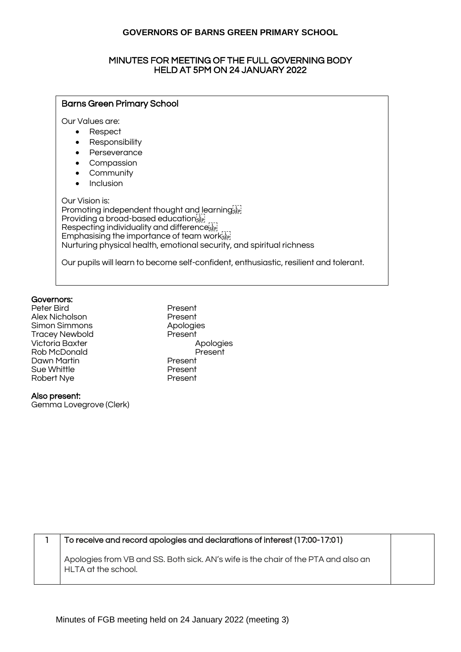#### MINUTES FOR MEETING OF THE FULL GOVERNING BODY HELD AT 5PM ON 24 JANUARY 2022

#### Barns Green Primary School

Our Values are:

- Respect
- Responsibility
- Perseverance
- Compassion
- **Community**
- Inclusion

Our Vision is: Promoting independent thought and learning Providing a broad-based education Respecting individuality and difference<sup>[11]</sup> Emphasising the importance of team works Nurturing physical health, emotional security, and spiritual richness

Our pupils will learn to become self-confident, enthusiastic, resilient and tolerant.

#### Governors:

Peter Bird Present Alex Nicholson **Present** Simon Simmons Apologies Tracey Newbold Present Victoria Baxter Apologies Rob McDonald Present Dawn Martin Present Sue Whittle **Sue Whittle Supervalue A**<br>Robert Nye Robert Nye

Also present:

Gemma Lovegrove (Clerk)

1 To receive and record apologies and declarations of interest (17:00-17:01)

Apologies from VB and SS. Both sick. AN's wife is the chair of the PTA and also an HLTA at the school.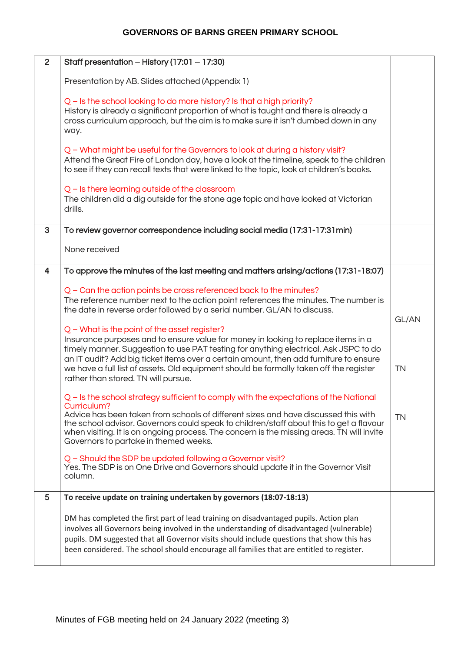| $\overline{2}$ | Staff presentation - History (17:01 - 17:30)                                                                                                                                                                                                                                                                                                                                                                                                        |                    |
|----------------|-----------------------------------------------------------------------------------------------------------------------------------------------------------------------------------------------------------------------------------------------------------------------------------------------------------------------------------------------------------------------------------------------------------------------------------------------------|--------------------|
|                | Presentation by AB. Slides attached (Appendix 1)                                                                                                                                                                                                                                                                                                                                                                                                    |                    |
|                | Q - Is the school looking to do more history? Is that a high priority?<br>History is already a significant proportion of what is taught and there is already a<br>cross curriculum approach, but the aim is to make sure it isn't dumbed down in any<br>way.                                                                                                                                                                                        |                    |
|                | Q - What might be useful for the Governors to look at during a history visit?<br>Attend the Great Fire of London day, have a look at the timeline, speak to the children<br>to see if they can recall texts that were linked to the topic, look at children's books.                                                                                                                                                                                |                    |
|                | Q – Is there learning outside of the classroom<br>The children did a dig outside for the stone age topic and have looked at Victorian<br>drills.                                                                                                                                                                                                                                                                                                    |                    |
| 3              | To review governor correspondence including social media (17:31-17:31 min)                                                                                                                                                                                                                                                                                                                                                                          |                    |
|                | None received                                                                                                                                                                                                                                                                                                                                                                                                                                       |                    |
| 4              | To approve the minutes of the last meeting and matters arising/actions (17:31-18:07)                                                                                                                                                                                                                                                                                                                                                                |                    |
|                | Q - Can the action points be cross referenced back to the minutes?<br>The reference number next to the action point references the minutes. The number is<br>the date in reverse order followed by a serial number. GL/AN to discuss.                                                                                                                                                                                                               |                    |
|                | Q - What is the point of the asset register?<br>Insurance purposes and to ensure value for money in looking to replace items in a<br>timely manner. Suggestion to use PAT testing for anything electrical. Ask JSPC to do<br>an IT audit? Add big ticket items over a certain amount, then add furniture to ensure<br>we have a full list of assets. Old equipment should be formally taken off the register<br>rather than stored. TN will pursue. | GL/AN<br><b>TN</b> |
|                | Q - Is the school strategy sufficient to comply with the expectations of the National<br>Curriculum?<br>Advice has been taken from schools of different sizes and have discussed this with<br>the school advisor. Governors could speak to children/staff about this to get a flavour<br>when visiting. It is on ongoing process. The concern is the missing areas. TN will invite<br>Governors to partake in themed weeks.                         | <b>TN</b>          |
|                | Q - Should the SDP be updated following a Governor visit?<br>Yes. The SDP is on One Drive and Governors should update it in the Governor Visit<br>column.                                                                                                                                                                                                                                                                                           |                    |
| 5              | To receive update on training undertaken by governors (18:07-18:13)                                                                                                                                                                                                                                                                                                                                                                                 |                    |
|                | DM has completed the first part of lead training on disadvantaged pupils. Action plan<br>involves all Governors being involved in the understanding of disadvantaged (vulnerable)<br>pupils. DM suggested that all Governor visits should include questions that show this has<br>been considered. The school should encourage all families that are entitled to register.                                                                          |                    |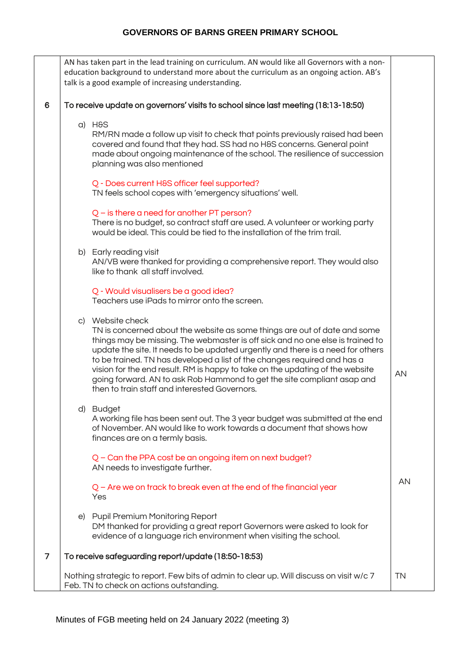|                | AN has taken part in the lead training on curriculum. AN would like all Governors with a non-<br>education background to understand more about the curriculum as an ongoing action. AB's<br>talk is a good example of increasing understanding.                                                                                                                                                                                                                                                                                                             |           |
|----------------|-------------------------------------------------------------------------------------------------------------------------------------------------------------------------------------------------------------------------------------------------------------------------------------------------------------------------------------------------------------------------------------------------------------------------------------------------------------------------------------------------------------------------------------------------------------|-----------|
| 6              | To receive update on governors' visits to school since last meeting (18:13-18:50)<br>a) H&S<br>RM/RN made a follow up visit to check that points previously raised had been<br>covered and found that they had. SS had no H&S concerns. General point<br>made about ongoing maintenance of the school. The resilience of succession<br>planning was also mentioned<br>Q - Does current H&S officer feel supported?<br>TN feels school copes with 'emergency situations' well.                                                                               |           |
|                | $Q$ – is there a need for another PT person?<br>There is no budget, so contract staff are used. A volunteer or working party<br>would be ideal. This could be tied to the installation of the trim trail.                                                                                                                                                                                                                                                                                                                                                   |           |
|                | b) Early reading visit<br>AN/VB were thanked for providing a comprehensive report. They would also<br>like to thank all staff involved.<br>Q - Would visualisers be a good idea?<br>Teachers use iPads to mirror onto the screen.                                                                                                                                                                                                                                                                                                                           |           |
|                | c) Website check<br>TN is concerned about the website as some things are out of date and some<br>things may be missing. The webmaster is off sick and no one else is trained to<br>update the site. It needs to be updated urgently and there is a need for others<br>to be trained. TN has developed a list of the changes required and has a<br>vision for the end result. RM is happy to take on the updating of the website<br>going forward. AN to ask Rob Hammond to get the site compliant asap and<br>then to train staff and interested Governors. | AN        |
|                | d) Budget<br>A working file has been sent out. The 3 year budget was submitted at the end<br>of November. AN would like to work towards a document that shows how<br>finances are on a termly basis.<br>Q - Can the PPA cost be an ongoing item on next budget?<br>AN needs to investigate further.                                                                                                                                                                                                                                                         |           |
|                | $Q$ – Are we on track to break even at the end of the financial year<br>Yes                                                                                                                                                                                                                                                                                                                                                                                                                                                                                 | <b>AN</b> |
|                | e) Pupil Premium Monitoring Report<br>DM thanked for providing a great report Governors were asked to look for<br>evidence of a language rich environment when visiting the school.                                                                                                                                                                                                                                                                                                                                                                         |           |
| $\overline{7}$ | To receive safeguarding report/update (18:50-18:53)                                                                                                                                                                                                                                                                                                                                                                                                                                                                                                         |           |
|                | Nothing strategic to report. Few bits of admin to clear up. Will discuss on visit w/c 7<br>Feb. TN to check on actions outstanding.                                                                                                                                                                                                                                                                                                                                                                                                                         | <b>TN</b> |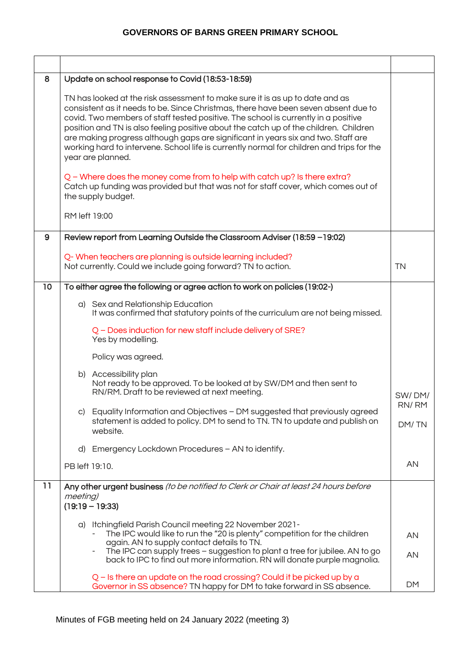| 8            | Update on school response to Covid (18:53-18:59)                                                                                                                                                                                                                                                                                                                                                                                                                                                                                                         |                |
|--------------|----------------------------------------------------------------------------------------------------------------------------------------------------------------------------------------------------------------------------------------------------------------------------------------------------------------------------------------------------------------------------------------------------------------------------------------------------------------------------------------------------------------------------------------------------------|----------------|
|              | TN has looked at the risk assessment to make sure it is as up to date and as<br>consistent as it needs to be. Since Christmas, there have been seven absent due to<br>covid. Two members of staff tested positive. The school is currently in a positive<br>position and TN is also feeling positive about the catch up of the children. Children<br>are making progress although gaps are significant in years six and two. Staff are<br>working hard to intervene. School life is currently normal for children and trips for the<br>year are planned. |                |
|              | Q - Where does the money come from to help with catch up? Is there extra?<br>Catch up funding was provided but that was not for staff cover, which comes out of<br>the supply budget.                                                                                                                                                                                                                                                                                                                                                                    |                |
|              | RM left 19:00                                                                                                                                                                                                                                                                                                                                                                                                                                                                                                                                            |                |
| $\mathbf{9}$ | Review report from Learning Outside the Classroom Adviser (18:59 - 19:02)                                                                                                                                                                                                                                                                                                                                                                                                                                                                                |                |
|              | Q- When teachers are planning is outside learning included?<br>Not currently. Could we include going forward? TN to action.                                                                                                                                                                                                                                                                                                                                                                                                                              | <b>TN</b>      |
| 10           | To either agree the following or agree action to work on policies (19:02-)                                                                                                                                                                                                                                                                                                                                                                                                                                                                               |                |
|              | a) Sex and Relationship Education<br>It was confirmed that statutory points of the curriculum are not being missed.                                                                                                                                                                                                                                                                                                                                                                                                                                      |                |
|              | Q - Does induction for new staff include delivery of SRE?<br>Yes by modelling.                                                                                                                                                                                                                                                                                                                                                                                                                                                                           |                |
|              | Policy was agreed.                                                                                                                                                                                                                                                                                                                                                                                                                                                                                                                                       |                |
|              | b) Accessibility plan<br>Not ready to be approved. To be looked at by SW/DM and then sent to<br>RN/RM. Draft to be reviewed at next meeting.                                                                                                                                                                                                                                                                                                                                                                                                             | SW/DM/         |
|              | c) Equality Information and Objectives - DM suggested that previously agreed<br>statement is added to policy. DM to send to TN. TN to update and publish on<br>website.                                                                                                                                                                                                                                                                                                                                                                                  | RN/RM<br>DM/TN |
|              | d) Emergency Lockdown Procedures - AN to identify.                                                                                                                                                                                                                                                                                                                                                                                                                                                                                                       |                |
|              | PB left 19:10.                                                                                                                                                                                                                                                                                                                                                                                                                                                                                                                                           | AN             |
| 11           | Any other urgent business (to be notified to Clerk or Chair at least 24 hours before<br>meeting)<br>$(19:19 - 19:33)$                                                                                                                                                                                                                                                                                                                                                                                                                                    |                |
|              | a) Itchingfield Parish Council meeting 22 November 2021-                                                                                                                                                                                                                                                                                                                                                                                                                                                                                                 |                |
|              | The IPC would like to run the "20 is plenty" competition for the children<br>again. AN to supply contact details to TN.                                                                                                                                                                                                                                                                                                                                                                                                                                  | AN             |
|              | The IPC can supply trees - suggestion to plant a tree for jubilee. AN to go<br>$\overline{\phantom{a}}$<br>back to IPC to find out more information. RN will donate purple magnolia.                                                                                                                                                                                                                                                                                                                                                                     | AN             |
|              | Q - Is there an update on the road crossing? Could it be picked up by a<br>Governor in SS absence? TN happy for DM to take forward in SS absence.                                                                                                                                                                                                                                                                                                                                                                                                        | <b>DM</b>      |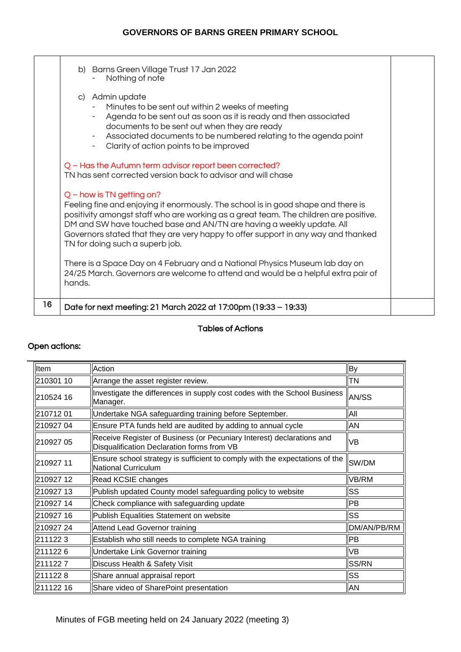|    | b) Barns Green Village Trust 17 Jan 2022<br>Nothing of note<br>c) Admin update<br>Minutes to be sent out within 2 weeks of meeting<br>Agenda to be sent out as soon as it is ready and then associated<br>documents to be sent out when they are ready<br>Associated documents to be numbered relating to the agenda point<br>$\sim$<br>Clarity of action points to be improved<br>$\sim$ $-$             |  |
|----|-----------------------------------------------------------------------------------------------------------------------------------------------------------------------------------------------------------------------------------------------------------------------------------------------------------------------------------------------------------------------------------------------------------|--|
|    | Q - Has the Autumn term advisor report been corrected?<br>TN has sent corrected version back to advisor and will chase                                                                                                                                                                                                                                                                                    |  |
|    | $Q$ – how is TN getting on?<br>Feeling fine and enjoying it enormously. The school is in good shape and there is<br>positivity amongst staff who are working as a great team. The children are positive.<br>DM and SW have touched base and AN/TN are having a weekly update. All<br>Governors stated that they are very happy to offer support in any way and thanked<br>TN for doing such a superb job. |  |
|    | There is a Space Day on 4 February and a National Physics Museum lab day on<br>24/25 March. Governors are welcome to attend and would be a helpful extra pair of<br>hands.                                                                                                                                                                                                                                |  |
| 16 | Date for next meeting: 21 March 2022 at 17:00pm (19:33 – 19:33)                                                                                                                                                                                                                                                                                                                                           |  |

# Tables of Actions

## Open actions:

| Item      | Action                                                                                                              | <b>By</b>    |
|-----------|---------------------------------------------------------------------------------------------------------------------|--------------|
| 210301 10 | Arrange the asset register review.                                                                                  | <b>TN</b>    |
| 210524 16 | Investigate the differences in supply cost codes with the School Business<br>Manager.                               | <b>AN/SS</b> |
| 21071201  | Undertake NGA safeguarding training before September.                                                               | All          |
| 210927 04 | Ensure PTA funds held are audited by adding to annual cycle                                                         | AN           |
| 210927 05 | Receive Register of Business (or Pecuniary Interest) declarations and<br>Disqualification Declaration forms from VB | <b>VB</b>    |
| 210927 11 | Ensure school strategy is sufficient to comply with the expectations of the<br>National Curriculum                  | SW/DM        |
| 210927 12 | Read KCSIE changes                                                                                                  | VB/RM        |
| 210927 13 | Publish updated County model safeguarding policy to website                                                         | <b>SS</b>    |
| 210927 14 | Check compliance with safeguarding update                                                                           | <b>PB</b>    |
| 210927 16 | Publish Equalities Statement on website                                                                             | <b>SS</b>    |
| 21092724  | Attend Lead Governor training                                                                                       | DM/AN/PB/RM  |
| 2111223   | Establish who still needs to complete NGA training                                                                  | <b>PB</b>    |
| 2111226   | Undertake Link Governor training                                                                                    | <b>VB</b>    |
| 2111227   | Discuss Health & Safety Visit                                                                                       | SS/RN        |
| 2111228   | Share annual appraisal report                                                                                       | <b>SS</b>    |
| 211122 16 | Share video of SharePoint presentation                                                                              | AN           |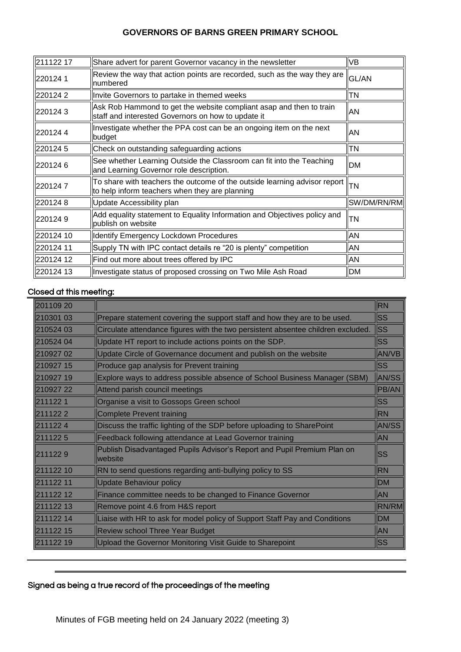| 211122 17 | Share advert for parent Governor vacancy in the newsletter                                                                                                                     | <b>VB</b>    |
|-----------|--------------------------------------------------------------------------------------------------------------------------------------------------------------------------------|--------------|
| 2201241   | Review the way that action points are recorded, such as the way they are<br>numbered                                                                                           | <b>GL/AN</b> |
| 2201242   | Invite Governors to partake in themed weeks                                                                                                                                    | <b>TN</b>    |
| 2201243   | Ask Rob Hammond to get the website compliant asap and then to train<br>staff and interested Governors on how to update it                                                      | AN           |
| 2201244   | Investigate whether the PPA cost can be an ongoing item on the next<br>budget                                                                                                  | AN           |
| 2201245   | Check on outstanding safeguarding actions                                                                                                                                      | <b>TN</b>    |
| 2201246   | See whether Learning Outside the Classroom can fit into the Teaching<br>and Learning Governor role description.                                                                | <b>DM</b>    |
| 2201247   | $\sqrt{\frac{1}{100}}$ share with teachers the outcome of the outside learning advisor report $\left\  \frac{1}{10}\right\ $<br>to help inform teachers when they are planning |              |
| 2201248   | Update Accessibility plan                                                                                                                                                      | SW/DM/RN/RM  |
| 2201249   | Add equality statement to Equality Information and Objectives policy and<br>publish on website                                                                                 | <b>TN</b>    |
| 220124 10 | Identify Emergency Lockdown Procedures                                                                                                                                         | AN           |
| 220124 11 | Supply TN with IPC contact details re "20 is plenty" competition                                                                                                               | ΙAΝ          |
| 220124 12 | Find out more about trees offered by IPC                                                                                                                                       | ΙAΝ          |
| 220124 13 | Investigate status of proposed crossing on Two Mile Ash Road                                                                                                                   | <b>DM</b>    |

#### Closed at this meeting:

| 201109 20   |                                                                                           | <b>RN</b>    |
|-------------|-------------------------------------------------------------------------------------------|--------------|
| 210301 03   | Prepare statement covering the support staff and how they are to be used.                 | <b>SS</b>    |
| ll210524 03 | Circulate attendance figures with the two persistent absentee children excluded.          | llss         |
| 210524 04   | Update HT report to include actions points on the SDP.                                    | <b>SS</b>    |
| 21092702    | Update Circle of Governance document and publish on the website                           | <b>AN/VB</b> |
| ll210927 15 | Produce gap analysis for Prevent training                                                 | <b>SS</b>    |
| 210927 19   | Explore ways to address possible absence of School Business Manager (SBM)                 | AN/SS        |
| 210927 22   | Attend parish council meetings                                                            | <b>PB/AN</b> |
| 2111221     | Organise a visit to Gossops Green school                                                  | <b>SS</b>    |
| 2111222     | <b>Complete Prevent training</b>                                                          | <b>RN</b>    |
| ll211122 4  | Discuss the traffic lighting of the SDP before uploading to SharePoint                    | <b>AN/SS</b> |
| ll211122 5  | Feedback following attendance at Lead Governor training                                   | <b>AN</b>    |
| 2111229     | Publish Disadvantaged Pupils Advisor's Report and Pupil Premium Plan on<br><i>website</i> | lss          |
| 211122 10   | RN to send questions regarding anti-bullying policy to SS                                 | <b>RN</b>    |
| 211122 11   | Update Behaviour policy                                                                   | <b>DM</b>    |
| 211122 12   | Finance committee needs to be changed to Finance Governor                                 | <b>AN</b>    |
| 211122 13   | Remove point 4.6 from H&S report                                                          | <b>RN/RM</b> |
| 211122 14   | Liaise with HR to ask for model policy of Support Staff Pay and Conditions                | <b>DM</b>    |
| 211122 15   | <b>Review school Three Year Budget</b>                                                    | <b>AN</b>    |
| 211122 19   | Upload the Governor Monitoring Visit Guide to Sharepoint                                  | <b>SS</b>    |

# Signed as being a true record of the proceedings of the meeting